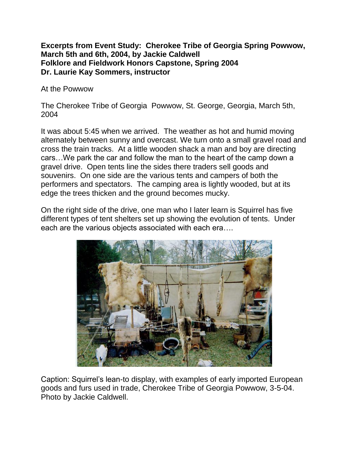## **Excerpts from Event Study: Cherokee Tribe of Georgia Spring Powwow, March 5th and 6th, 2004, by Jackie Caldwell Folklore and Fieldwork Honors Capstone, Spring 2004 Dr. Laurie Kay Sommers, instructor**

At the Powwow

The Cherokee Tribe of Georgia Powwow, St. George, Georgia, March 5th, 2004

It was about 5:45 when we arrived. The weather as hot and humid moving alternately between sunny and overcast. We turn onto a small gravel road and cross the train tracks. At a little wooden shack a man and boy are directing cars…We park the car and follow the man to the heart of the camp down a gravel drive. Open tents line the sides there traders sell goods and souvenirs. On one side are the various tents and campers of both the performers and spectators. The camping area is lightly wooded, but at its edge the trees thicken and the ground becomes mucky.

On the right side of the drive, one man who I later learn is Squirrel has five different types of tent shelters set up showing the evolution of tents. Under each are the various objects associated with each era….



Caption: Squirrel's lean-to display, with examples of early imported European goods and furs used in trade, Cherokee Tribe of Georgia Powwow, 3-5-04. Photo by Jackie Caldwell.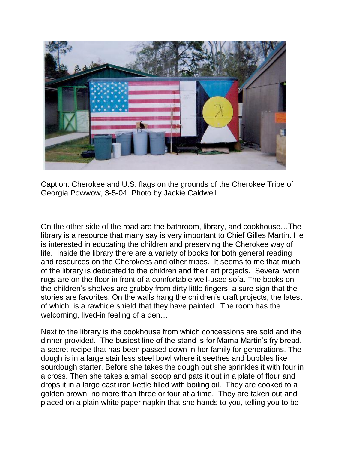

Caption: Cherokee and U.S. flags on the grounds of the Cherokee Tribe of Georgia Powwow, 3-5-04. Photo by Jackie Caldwell.

On the other side of the road are the bathroom, library, and cookhouse…The library is a resource that many say is very important to Chief Gilles Martin. He is interested in educating the children and preserving the Cherokee way of life. Inside the library there are a variety of books for both general reading and resources on the Cherokees and other tribes. It seems to me that much of the library is dedicated to the children and their art projects. Several worn rugs are on the floor in front of a comfortable well-used sofa. The books on the children's shelves are grubby from dirty little fingers, a sure sign that the stories are favorites. On the walls hang the children's craft projects, the latest of which is a rawhide shield that they have painted. The room has the welcoming, lived-in feeling of a den…

Next to the library is the cookhouse from which concessions are sold and the dinner provided. The busiest line of the stand is for Mama Martin's fry bread, a secret recipe that has been passed down in her family for generations. The dough is in a large stainless steel bowl where it seethes and bubbles like sourdough starter. Before she takes the dough out she sprinkles it with four in a cross. Then she takes a small scoop and pats it out in a plate of flour and drops it in a large cast iron kettle filled with boiling oil. They are cooked to a golden brown, no more than three or four at a time. They are taken out and placed on a plain white paper napkin that she hands to you, telling you to be